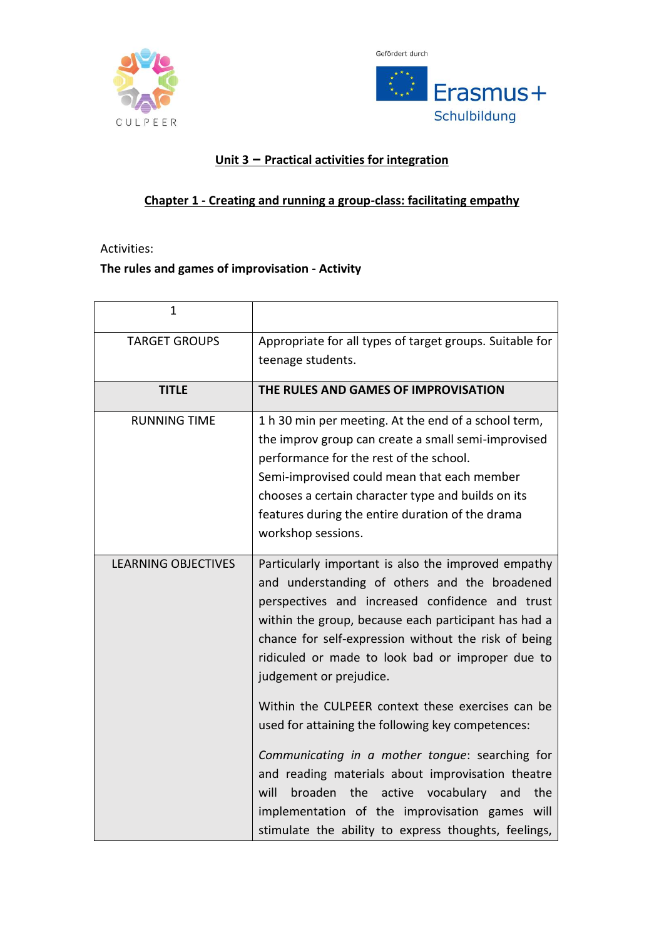



## **Unit 3 – Practical activities for integration**

#### **Chapter 1 - Creating and running a group-class: facilitating empathy**

Activities:

## **The rules and games of improvisation - Activity**

| $\mathbf{1}$               |                                                                                                                                                                                                                                                                                                                                                                                                                                                                                                                                                                                                                                                                                                                                                    |
|----------------------------|----------------------------------------------------------------------------------------------------------------------------------------------------------------------------------------------------------------------------------------------------------------------------------------------------------------------------------------------------------------------------------------------------------------------------------------------------------------------------------------------------------------------------------------------------------------------------------------------------------------------------------------------------------------------------------------------------------------------------------------------------|
| <b>TARGET GROUPS</b>       | Appropriate for all types of target groups. Suitable for<br>teenage students.                                                                                                                                                                                                                                                                                                                                                                                                                                                                                                                                                                                                                                                                      |
| <b>TITLE</b>               | THE RULES AND GAMES OF IMPROVISATION                                                                                                                                                                                                                                                                                                                                                                                                                                                                                                                                                                                                                                                                                                               |
| <b>RUNNING TIME</b>        | 1 h 30 min per meeting. At the end of a school term,<br>the improv group can create a small semi-improvised<br>performance for the rest of the school.<br>Semi-improvised could mean that each member<br>chooses a certain character type and builds on its<br>features during the entire duration of the drama<br>workshop sessions.                                                                                                                                                                                                                                                                                                                                                                                                              |
| <b>LEARNING OBJECTIVES</b> | Particularly important is also the improved empathy<br>and understanding of others and the broadened<br>perspectives and increased confidence and trust<br>within the group, because each participant has had a<br>chance for self-expression without the risk of being<br>ridiculed or made to look bad or improper due to<br>judgement or prejudice.<br>Within the CULPEER context these exercises can be<br>used for attaining the following key competences:<br>Communicating in a mother tongue: searching for<br>and reading materials about improvisation theatre<br>will<br>broaden<br>the<br>active<br>vocabulary<br>the<br>and<br>implementation of the improvisation games will<br>stimulate the ability to express thoughts, feelings, |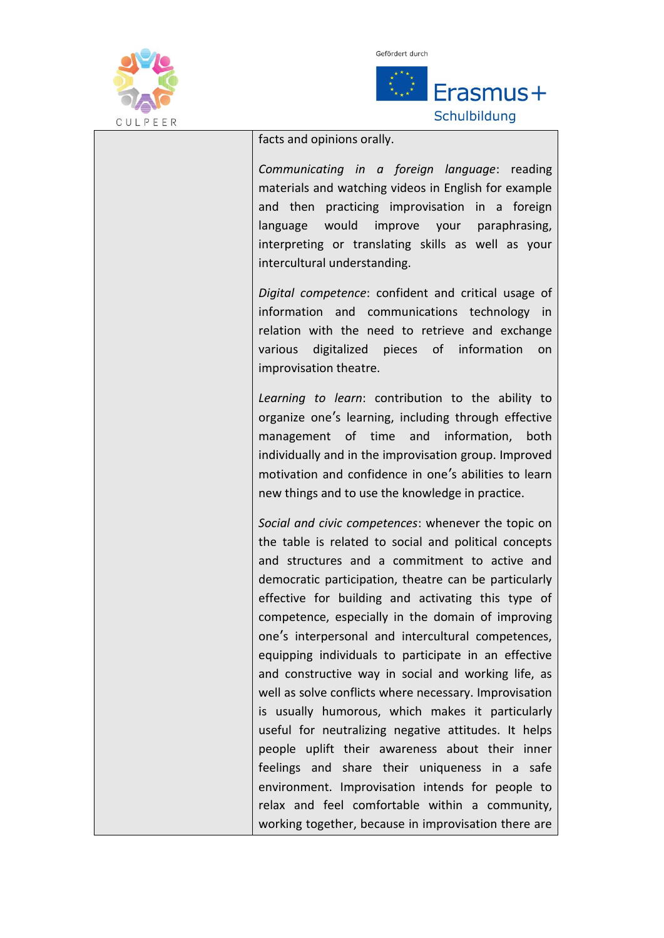

 $\overline{a}$ 



facts and opinions orally.

*Communicating in a foreign language*: reading materials and watching videos in English for example and then practicing improvisation in a foreign language would improve your paraphrasing, interpreting or translating skills as well as your intercultural understanding.

*Digital competence*: confident and critical usage of information and communications technology in relation with the need to retrieve and exchange various digitalized pieces of information on improvisation theatre.

*Learning to learn*: contribution to the ability to organize one's learning, including through effective management of time and information, both individually and in the improvisation group. Improved motivation and confidence in one's abilities to learn new things and to use the knowledge in practice.

*Social and civic competences*: whenever the topic on the table is related to social and political concepts and structures and a commitment to active and democratic participation, theatre can be particularly effective for building and activating this type of competence, especially in the domain of improving one's interpersonal and intercultural competences, equipping individuals to participate in an effective and constructive way in social and working life, as well as solve conflicts where necessary. Improvisation is usually humorous, which makes it particularly useful for neutralizing negative attitudes. It helps people uplift their awareness about their inner feelings and share their uniqueness in a safe environment. Improvisation intends for people to relax and feel comfortable within a community, working together, because in improvisation there are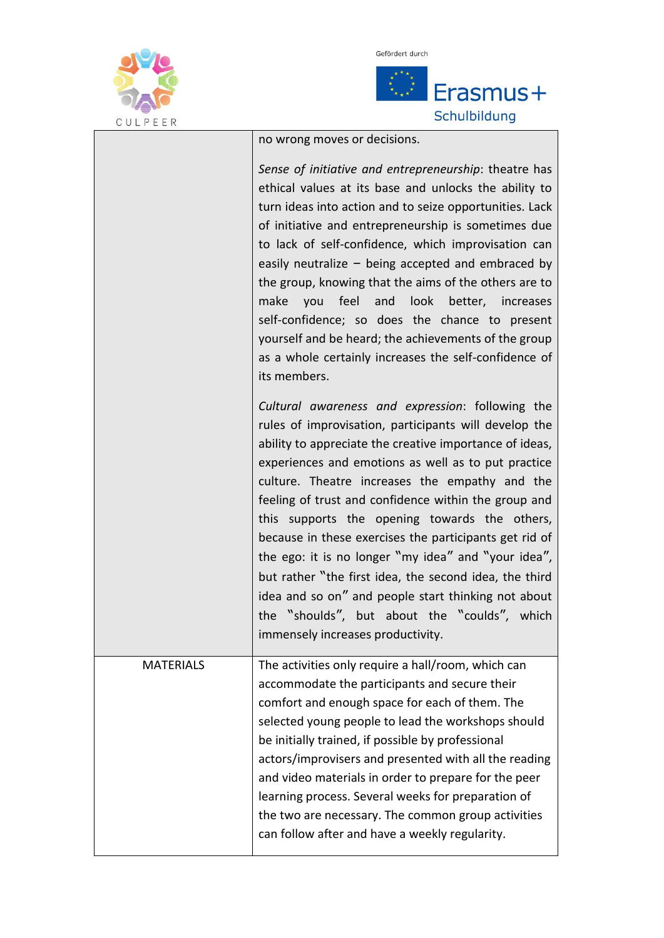

 $\overline{a}$ 



no wrong moves or decisions.

|                  | Sense of initiative and entrepreneurship: theatre has<br>ethical values at its base and unlocks the ability to<br>turn ideas into action and to seize opportunities. Lack<br>of initiative and entrepreneurship is sometimes due<br>to lack of self-confidence, which improvisation can<br>easily neutralize $-$ being accepted and embraced by<br>the group, knowing that the aims of the others are to<br>feel and<br>look<br>make<br>you<br>better, increases<br>self-confidence; so does the chance to present<br>yourself and be heard; the achievements of the group<br>as a whole certainly increases the self-confidence of<br>its members.                                                           |
|------------------|---------------------------------------------------------------------------------------------------------------------------------------------------------------------------------------------------------------------------------------------------------------------------------------------------------------------------------------------------------------------------------------------------------------------------------------------------------------------------------------------------------------------------------------------------------------------------------------------------------------------------------------------------------------------------------------------------------------|
|                  | Cultural awareness and expression: following the<br>rules of improvisation, participants will develop the<br>ability to appreciate the creative importance of ideas,<br>experiences and emotions as well as to put practice<br>culture. Theatre increases the empathy and the<br>feeling of trust and confidence within the group and<br>this supports the opening towards the others,<br>because in these exercises the participants get rid of<br>the ego: it is no longer "my idea" and "your idea",<br>but rather "the first idea, the second idea, the third<br>idea and so on" and people start thinking not about<br>the "shoulds", but about the "coulds", which<br>immensely increases productivity. |
| <b>MATERIALS</b> | The activities only require a hall/room, which can<br>accommodate the participants and secure their<br>comfort and enough space for each of them. The<br>selected young people to lead the workshops should<br>be initially trained, if possible by professional<br>actors/improvisers and presented with all the reading<br>and video materials in order to prepare for the peer<br>learning process. Several weeks for preparation of<br>the two are necessary. The common group activities<br>can follow after and have a weekly regularity.                                                                                                                                                               |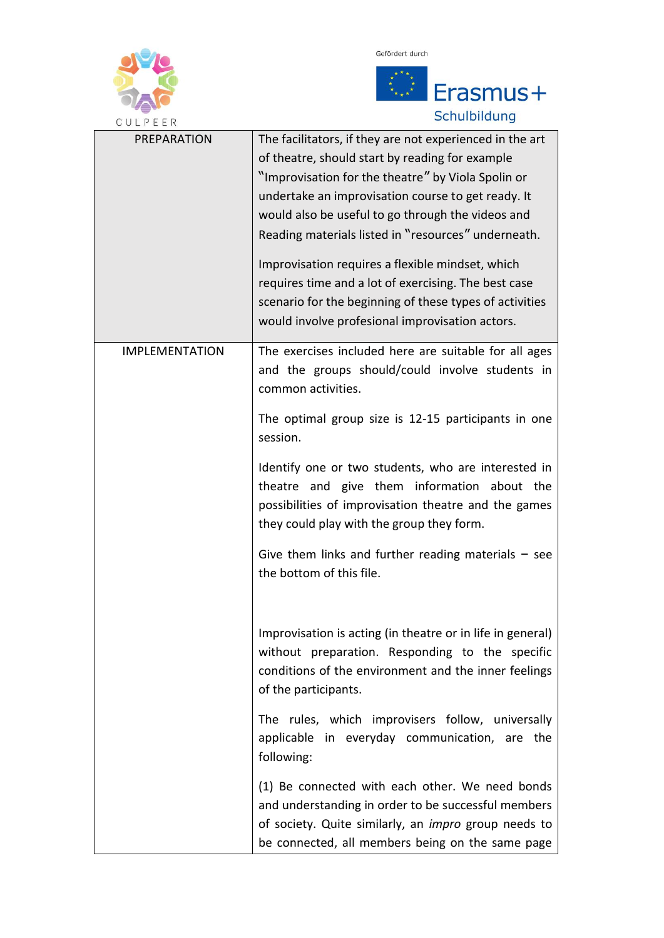



| CULPEER               | Scriuiblidung                                                                                                                                                                                                                                                                                                                                                                                                                                                                                                                                                 |
|-----------------------|---------------------------------------------------------------------------------------------------------------------------------------------------------------------------------------------------------------------------------------------------------------------------------------------------------------------------------------------------------------------------------------------------------------------------------------------------------------------------------------------------------------------------------------------------------------|
| PREPARATION           | The facilitators, if they are not experienced in the art<br>of theatre, should start by reading for example<br>"Improvisation for the theatre" by Viola Spolin or<br>undertake an improvisation course to get ready. It<br>would also be useful to go through the videos and<br>Reading materials listed in "resources" underneath.<br>Improvisation requires a flexible mindset, which<br>requires time and a lot of exercising. The best case<br>scenario for the beginning of these types of activities<br>would involve profesional improvisation actors. |
| <b>IMPLEMENTATION</b> | The exercises included here are suitable for all ages<br>and the groups should/could involve students in<br>common activities.<br>The optimal group size is 12-15 participants in one                                                                                                                                                                                                                                                                                                                                                                         |
|                       | session.                                                                                                                                                                                                                                                                                                                                                                                                                                                                                                                                                      |
|                       | Identify one or two students, who are interested in<br>theatre and give them information about the<br>possibilities of improvisation theatre and the games<br>they could play with the group they form.                                                                                                                                                                                                                                                                                                                                                       |
|                       | Give them links and further reading materials $-$ see<br>the bottom of this file.                                                                                                                                                                                                                                                                                                                                                                                                                                                                             |
|                       | Improvisation is acting (in theatre or in life in general)<br>without preparation. Responding to the specific<br>conditions of the environment and the inner feelings<br>of the participants.                                                                                                                                                                                                                                                                                                                                                                 |
|                       | The rules, which improvisers follow, universally<br>applicable in everyday communication, are the<br>following:                                                                                                                                                                                                                                                                                                                                                                                                                                               |
|                       | (1) Be connected with each other. We need bonds<br>and understanding in order to be successful members<br>of society. Quite similarly, an <i>impro</i> group needs to<br>be connected, all members being on the same page                                                                                                                                                                                                                                                                                                                                     |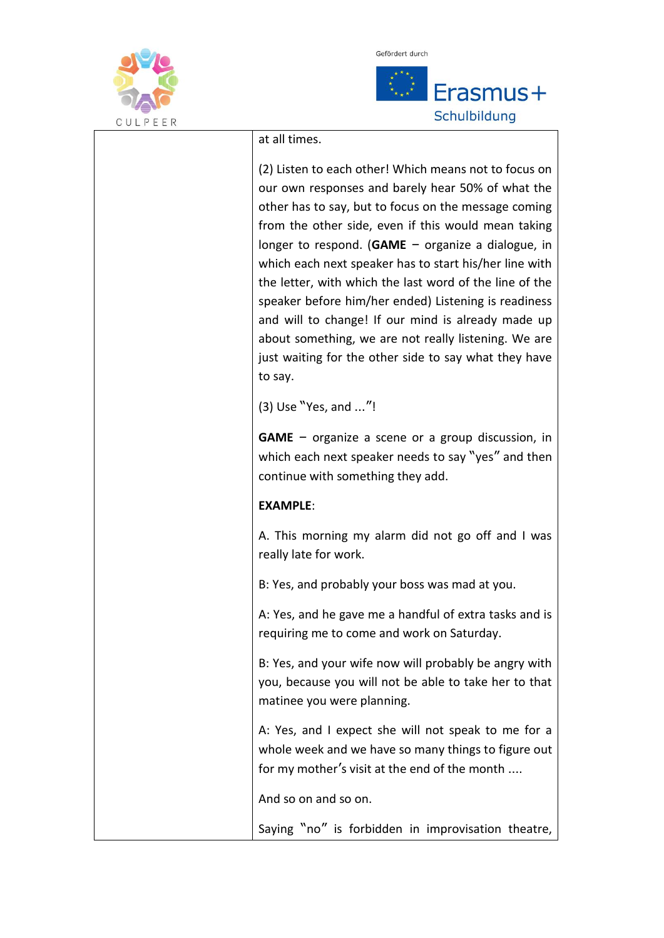



at all times.

(2) Listen to each other! Which means not to focus on our own responses and barely hear 50% of what the other has to say, but to focus on the message coming from the other side, even if this would mean taking longer to respond. (**GAME** – organize a dialogue, in which each next speaker has to start his/her line with the letter, with which the last word of the line of the speaker before him/her ended) Listening is readiness and will to change! If our mind is already made up about something, we are not really listening. We are just waiting for the other side to say what they have to say.

(3) Use "Yes, and …"!

**GAME** – organize a scene or a group discussion, in which each next speaker needs to say "yes" and then continue with something they add.

#### **EXAMPLE**:

A. This morning my alarm did not go off and I was really late for work.

B: Yes, and probably your boss was mad at you.

A: Yes, and he gave me a handful of extra tasks and is requiring me to come and work on Saturday.

B: Yes, and your wife now will probably be angry with you, because you will not be able to take her to that matinee you were planning.

A: Yes, and I expect she will not speak to me for a whole week and we have so many things to figure out for my mother's visit at the end of the month ….

And so on and so on.

Saying "no" is forbidden in improvisation theatre,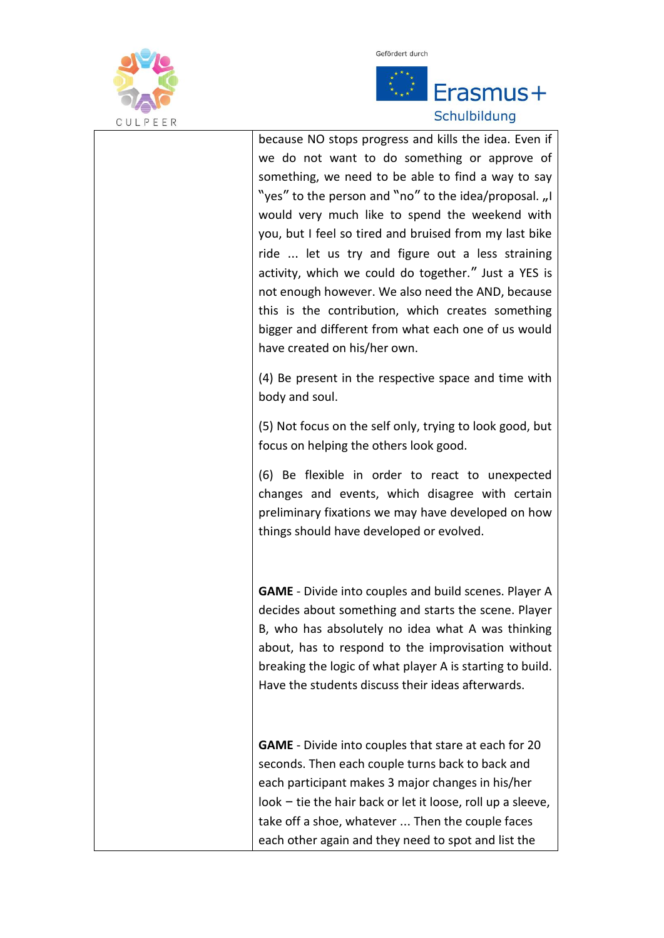



# Erasmus+ Schulbildung

because NO stops progress and kills the idea. Even if we do not want to do something or approve of something, we need to be able to find a way to say "yes" to the person and "no" to the idea/proposal.  $n!$ would very much like to spend the weekend with you, but I feel so tired and bruised from my last bike ride … let us try and figure out a less straining activity, which we could do together." Just a YES is not enough however. We also need the AND, because this is the contribution, which creates something bigger and different from what each one of us would have created on his/her own.

(4) Be present in the respective space and time with body and soul.

(5) Not focus on the self only, trying to look good, but focus on helping the others look good.

(6) Be flexible in order to react to unexpected changes and events, which disagree with certain preliminary fixations we may have developed on how things should have developed or evolved.

**GAME** - Divide into couples and build scenes. Player A decides about something and starts the scene. Player B, who has absolutely no idea what A was thinking about, has to respond to the improvisation without breaking the logic of what player A is starting to build. Have the students discuss their ideas afterwards.

**GAME** - Divide into couples that stare at each for 20 seconds. Then each couple turns back to back and each participant makes 3 major changes in his/her look – tie the hair back or let it loose, roll up a sleeve, take off a shoe, whatever … Then the couple faces each other again and they need to spot and list the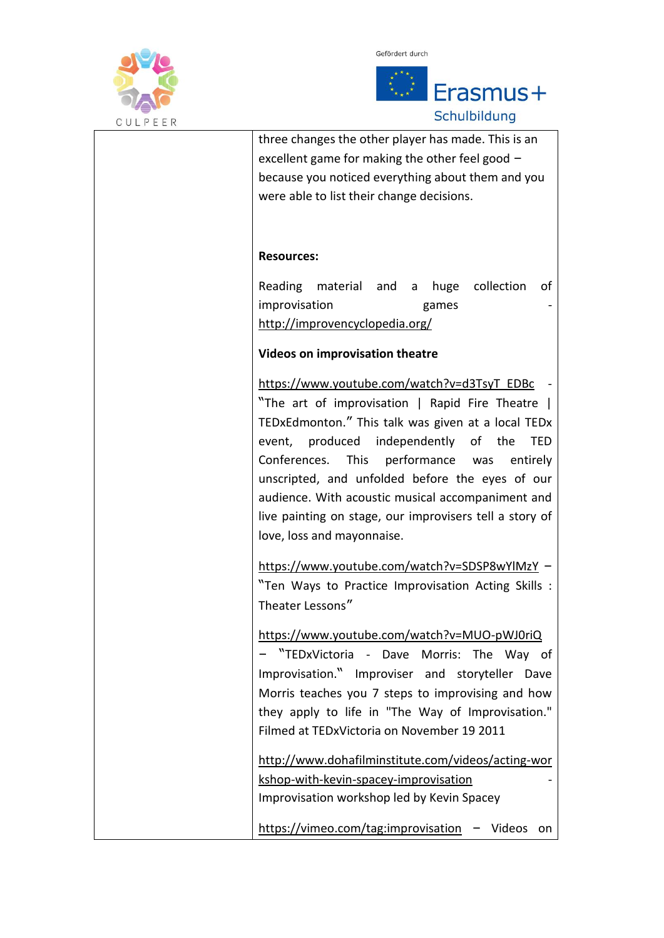



# Schulbildung

| three changes the other player has made. This is an                                           |
|-----------------------------------------------------------------------------------------------|
| excellent game for making the other feel good -                                               |
| because you noticed everything about them and you                                             |
| were able to list their change decisions.                                                     |
|                                                                                               |
|                                                                                               |
| <b>Resources:</b>                                                                             |
| collection<br>Reading material and<br>huge<br>οf<br>a                                         |
| improvisation<br>games                                                                        |
| http://improvencyclopedia.org/                                                                |
|                                                                                               |
| Videos on improvisation theatre                                                               |
| https://www.youtube.com/watch?v=d3TsyT_EDBc<br>"The art of improvisation   Rapid Fire Theatre |
| TEDxEdmonton." This talk was given at a local TEDx                                            |
| event, produced independently of the<br>TED                                                   |
| Conferences.<br><b>This</b><br>performance was<br>entirely                                    |
| unscripted, and unfolded before the eyes of our                                               |
| audience. With acoustic musical accompaniment and                                             |
| live painting on stage, our improvisers tell a story of                                       |
| love, loss and mayonnaise.                                                                    |
|                                                                                               |
| https://www.youtube.com/watch?v=SDSP8wYlMzY -                                                 |
| "Ten Ways to Practice Improvisation Acting Skills :                                           |
| Theater Lessons"                                                                              |
|                                                                                               |
| https://www.youtube.com/watch?v=MUO-pWJ0riQ                                                   |
| "TEDxVictoria - Dave Morris: The Way of                                                       |
| Improvisation." Improviser and storyteller Dave                                               |
| Morris teaches you 7 steps to improvising and how                                             |
| they apply to life in "The Way of Improvisation."                                             |
| Filmed at TEDxVictoria on November 19 2011                                                    |
| http://www.dohafilminstitute.com/videos/acting-wor                                            |
| kshop-with-kevin-spacey-improvisation                                                         |
| Improvisation workshop led by Kevin Spacey                                                    |
|                                                                                               |
| https://vimeo.com/tag:improvisation<br>Videos<br><b>on</b>                                    |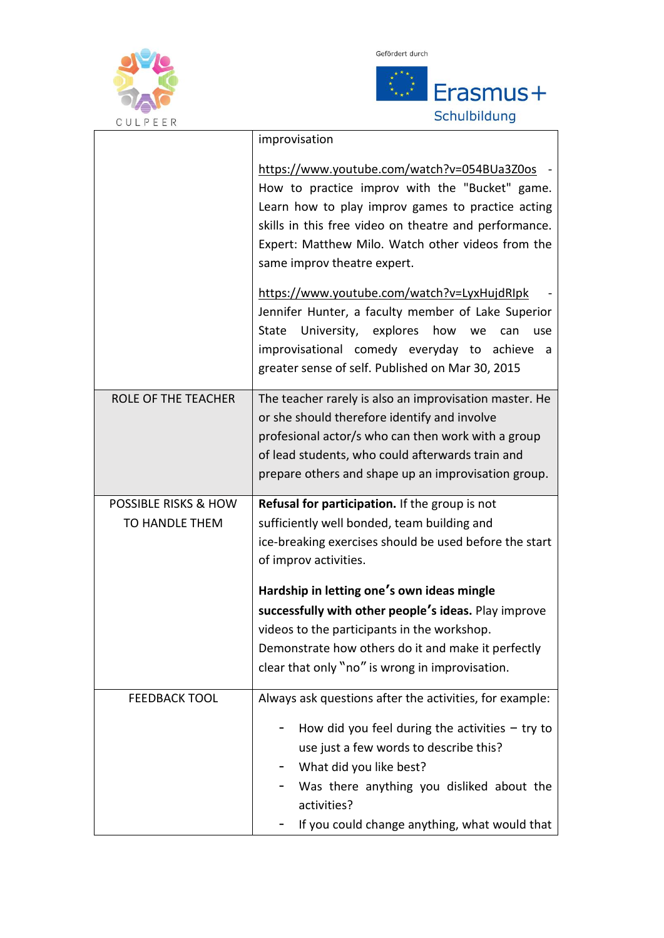



|                                 | improvisation                                            |
|---------------------------------|----------------------------------------------------------|
|                                 | https://www.youtube.com/watch?v=054BUa3Z0os              |
|                                 | How to practice improv with the "Bucket" game.           |
|                                 | Learn how to play improv games to practice acting        |
|                                 | skills in this free video on theatre and performance.    |
|                                 | Expert: Matthew Milo. Watch other videos from the        |
|                                 | same improv theatre expert.                              |
|                                 | https://www.youtube.com/watch?v=LyxHujdRIpk              |
|                                 | Jennifer Hunter, a faculty member of Lake Superior       |
|                                 | University, explores<br>how<br>State<br>we<br>can<br>use |
|                                 | improvisational comedy everyday to achieve<br>a          |
|                                 | greater sense of self. Published on Mar 30, 2015         |
| <b>ROLE OF THE TEACHER</b>      | The teacher rarely is also an improvisation master. He   |
|                                 | or she should therefore identify and involve             |
|                                 | profesional actor/s who can then work with a group       |
|                                 | of lead students, who could afterwards train and         |
|                                 | prepare others and shape up an improvisation group.      |
| <b>POSSIBLE RISKS &amp; HOW</b> | Refusal for participation. If the group is not           |
| TO HANDLE THEM                  | sufficiently well bonded, team building and              |
|                                 | ice-breaking exercises should be used before the start   |
|                                 | of improv activities.                                    |
|                                 | Hardship in letting one's own ideas mingle               |
|                                 | successfully with other people's ideas. Play improve     |
|                                 | videos to the participants in the workshop.              |
|                                 | Demonstrate how others do it and make it perfectly       |
|                                 | clear that only "no" is wrong in improvisation.          |
| <b>FEEDBACK TOOL</b>            | Always ask questions after the activities, for example:  |
|                                 | How did you feel during the activities $-$ try to        |
|                                 | use just a few words to describe this?                   |
|                                 | What did you like best?                                  |
|                                 | Was there anything you disliked about the                |
|                                 | activities?                                              |
|                                 | If you could change anything, what would that            |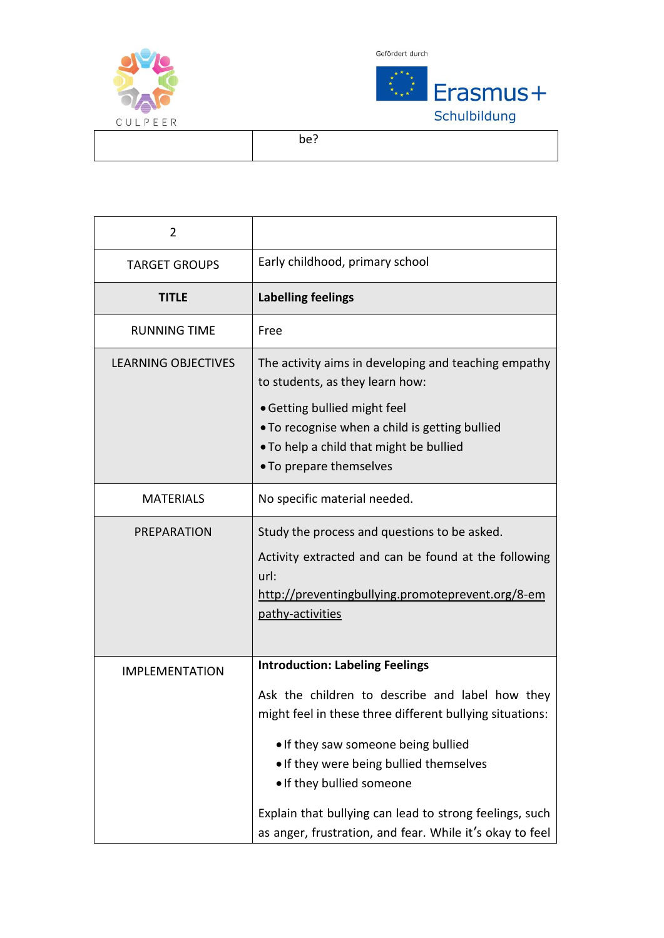





be?

| 2                          |                                                                                                                                                                                                                                                                                                                                                                                             |
|----------------------------|---------------------------------------------------------------------------------------------------------------------------------------------------------------------------------------------------------------------------------------------------------------------------------------------------------------------------------------------------------------------------------------------|
| <b>TARGET GROUPS</b>       | Early childhood, primary school                                                                                                                                                                                                                                                                                                                                                             |
| <b>TITLE</b>               | <b>Labelling feelings</b>                                                                                                                                                                                                                                                                                                                                                                   |
| <b>RUNNING TIME</b>        | Free                                                                                                                                                                                                                                                                                                                                                                                        |
| <b>LEARNING OBJECTIVES</b> | The activity aims in developing and teaching empathy<br>to students, as they learn how:<br>• Getting bullied might feel<br>. To recognise when a child is getting bullied<br>. To help a child that might be bullied<br>• To prepare themselves                                                                                                                                             |
| <b>MATERIALS</b>           | No specific material needed.                                                                                                                                                                                                                                                                                                                                                                |
| PREPARATION                | Study the process and questions to be asked.<br>Activity extracted and can be found at the following<br>url:<br>http://preventingbullying.promoteprevent.org/8-em<br>pathy-activities                                                                                                                                                                                                       |
| <b>IMPLEMENTATION</b>      | <b>Introduction: Labeling Feelings</b><br>Ask the children to describe and label how they<br>might feel in these three different bullying situations:<br>. If they saw someone being bullied<br>. If they were being bullied themselves<br>. If they bullied someone<br>Explain that bullying can lead to strong feelings, such<br>as anger, frustration, and fear. While it's okay to feel |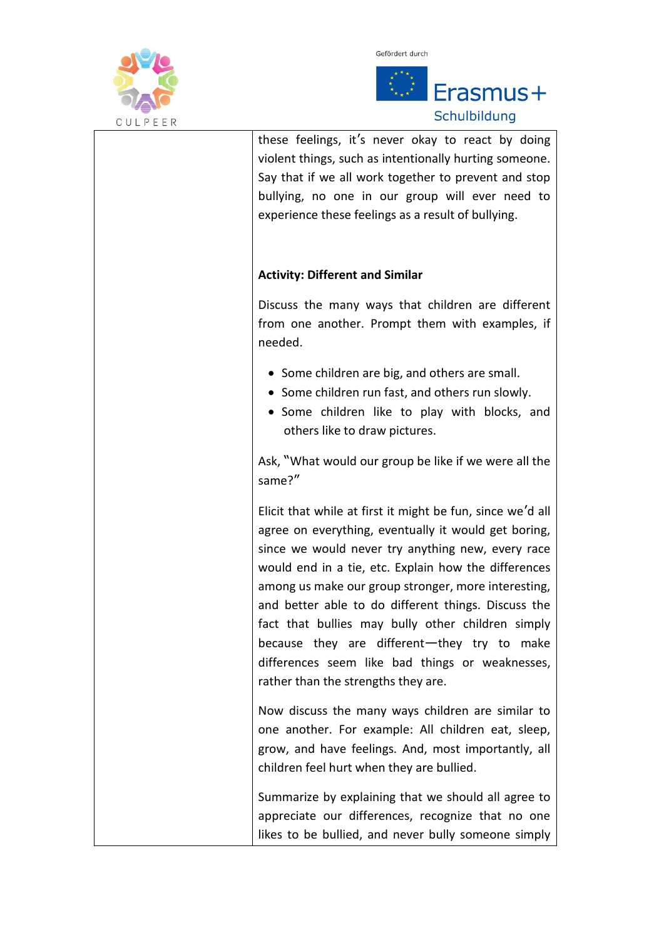



| these feelings, it's never okay to react by doing<br>violent things, such as intentionally hurting someone.<br>Say that if we all work together to prevent and stop<br>bullying, no one in our group will ever need to<br>experience these feelings as a result of bullying.                                                                                                                                                                                                                                                                |
|---------------------------------------------------------------------------------------------------------------------------------------------------------------------------------------------------------------------------------------------------------------------------------------------------------------------------------------------------------------------------------------------------------------------------------------------------------------------------------------------------------------------------------------------|
| <b>Activity: Different and Similar</b>                                                                                                                                                                                                                                                                                                                                                                                                                                                                                                      |
| Discuss the many ways that children are different<br>from one another. Prompt them with examples, if<br>needed.                                                                                                                                                                                                                                                                                                                                                                                                                             |
| • Some children are big, and others are small.<br>• Some children run fast, and others run slowly.<br>• Some children like to play with blocks, and<br>others like to draw pictures.                                                                                                                                                                                                                                                                                                                                                        |
| Ask, "What would our group be like if we were all the<br>same?"                                                                                                                                                                                                                                                                                                                                                                                                                                                                             |
| Elicit that while at first it might be fun, since we'd all<br>agree on everything, eventually it would get boring,<br>since we would never try anything new, every race<br>would end in a tie, etc. Explain how the differences<br>among us make our group stronger, more interesting,<br>and better able to do different things. Discuss the<br>fact that bullies may bully other children simply<br>because they are different-they try to make<br>differences seem like bad things or weaknesses,<br>rather than the strengths they are. |
| Now discuss the many ways children are similar to<br>one another. For example: All children eat, sleep,<br>grow, and have feelings. And, most importantly, all<br>children feel hurt when they are bullied.                                                                                                                                                                                                                                                                                                                                 |
| Summarize by explaining that we should all agree to<br>appreciate our differences, recognize that no one<br>likes to be bullied, and never bully someone simply                                                                                                                                                                                                                                                                                                                                                                             |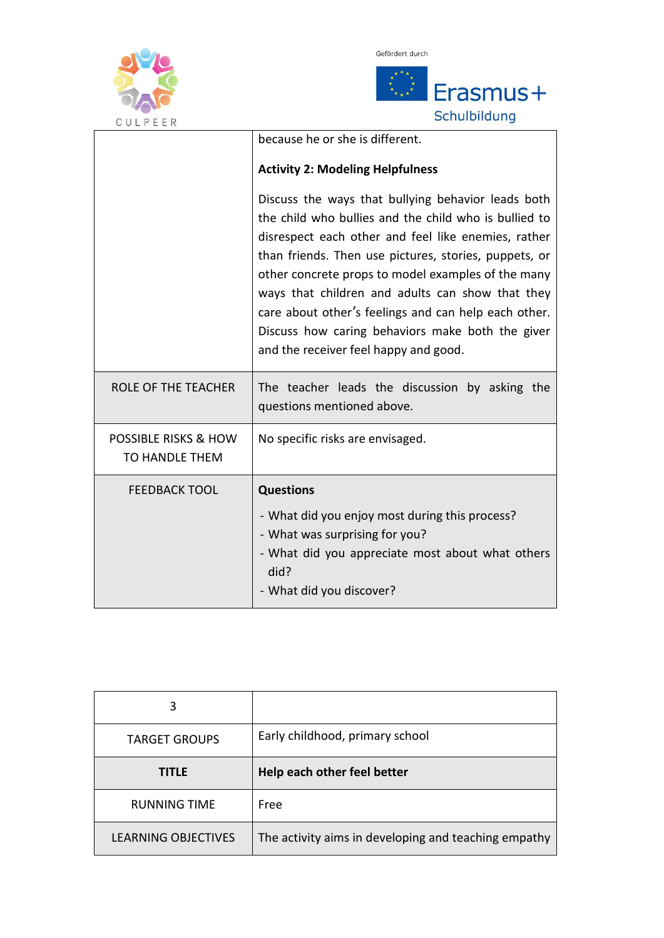



| U U L F E E K                                            |                                                                                                                                                                                                                                                                                                                                                                                                                                                                                            |
|----------------------------------------------------------|--------------------------------------------------------------------------------------------------------------------------------------------------------------------------------------------------------------------------------------------------------------------------------------------------------------------------------------------------------------------------------------------------------------------------------------------------------------------------------------------|
|                                                          | because he or she is different.                                                                                                                                                                                                                                                                                                                                                                                                                                                            |
|                                                          | <b>Activity 2: Modeling Helpfulness</b>                                                                                                                                                                                                                                                                                                                                                                                                                                                    |
|                                                          | Discuss the ways that bullying behavior leads both<br>the child who bullies and the child who is bullied to<br>disrespect each other and feel like enemies, rather<br>than friends. Then use pictures, stories, puppets, or<br>other concrete props to model examples of the many<br>ways that children and adults can show that they<br>care about other's feelings and can help each other.<br>Discuss how caring behaviors make both the giver<br>and the receiver feel happy and good. |
| <b>ROLE OF THE TEACHER</b>                               | The teacher leads the discussion by asking the<br>questions mentioned above.                                                                                                                                                                                                                                                                                                                                                                                                               |
| <b>POSSIBLE RISKS &amp; HOW</b><br><b>TO HANDLE THEM</b> | No specific risks are envisaged.                                                                                                                                                                                                                                                                                                                                                                                                                                                           |
| <b>FEEDBACK TOOL</b>                                     | <b>Questions</b>                                                                                                                                                                                                                                                                                                                                                                                                                                                                           |
|                                                          | - What did you enjoy most during this process?<br>- What was surprising for you?<br>- What did you appreciate most about what others<br>did?<br>- What did you discover?                                                                                                                                                                                                                                                                                                                   |

| 3                    |                                 |
|----------------------|---------------------------------|
| <b>TARGET GROUPS</b> | Early childhood, primary school |
| <b>TITLE</b>         | Help each other feel better     |
| <b>RUNNING TIME</b>  | Free                            |
|                      |                                 |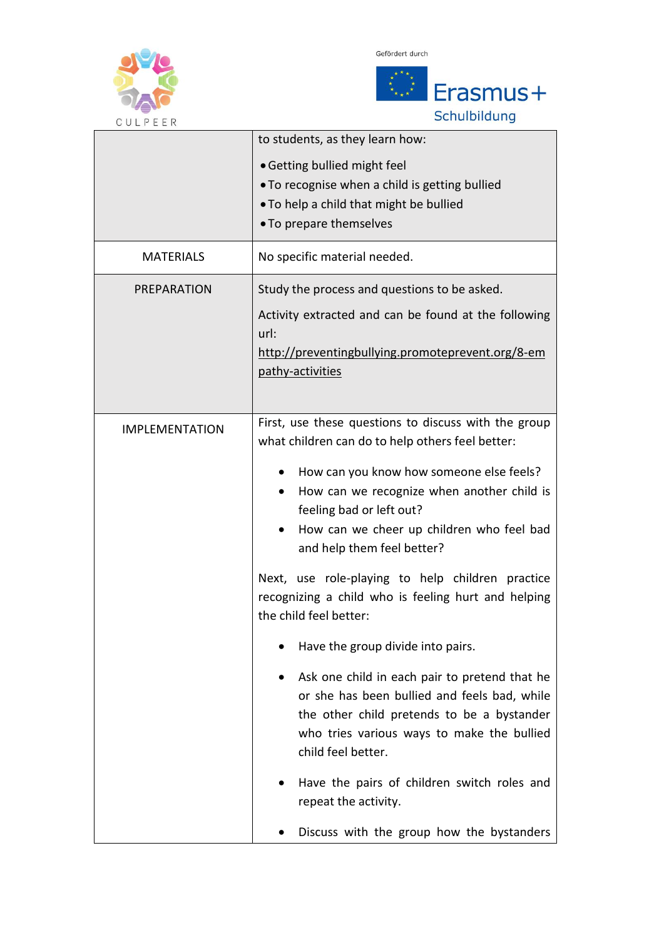





| U U L P E E K         |                                                                                                          |
|-----------------------|----------------------------------------------------------------------------------------------------------|
|                       | to students, as they learn how:                                                                          |
|                       | • Getting bullied might feel                                                                             |
|                       | . To recognise when a child is getting bullied                                                           |
|                       | . To help a child that might be bullied                                                                  |
|                       | • To prepare themselves                                                                                  |
| <b>MATERIALS</b>      | No specific material needed.                                                                             |
| PREPARATION           | Study the process and questions to be asked.                                                             |
|                       | Activity extracted and can be found at the following                                                     |
|                       | url:<br>http://preventingbullying.promoteprevent.org/8-em                                                |
|                       | pathy-activities                                                                                         |
|                       |                                                                                                          |
|                       |                                                                                                          |
| <b>IMPLEMENTATION</b> | First, use these questions to discuss with the group<br>what children can do to help others feel better: |
|                       | How can you know how someone else feels?                                                                 |
|                       | How can we recognize when another child is                                                               |
|                       | feeling bad or left out?                                                                                 |
|                       | How can we cheer up children who feel bad                                                                |
|                       | and help them feel better?                                                                               |
|                       | Next, use role-playing to help children practice                                                         |
|                       | recognizing a child who is feeling hurt and helping                                                      |
|                       | the child feel better:                                                                                   |
|                       | Have the group divide into pairs.                                                                        |
|                       | Ask one child in each pair to pretend that he                                                            |
|                       | or she has been bullied and feels bad, while                                                             |
|                       | the other child pretends to be a bystander                                                               |
|                       | who tries various ways to make the bullied                                                               |
|                       | child feel better.                                                                                       |
|                       | Have the pairs of children switch roles and                                                              |
|                       | repeat the activity.                                                                                     |
|                       | Discuss with the group how the bystanders                                                                |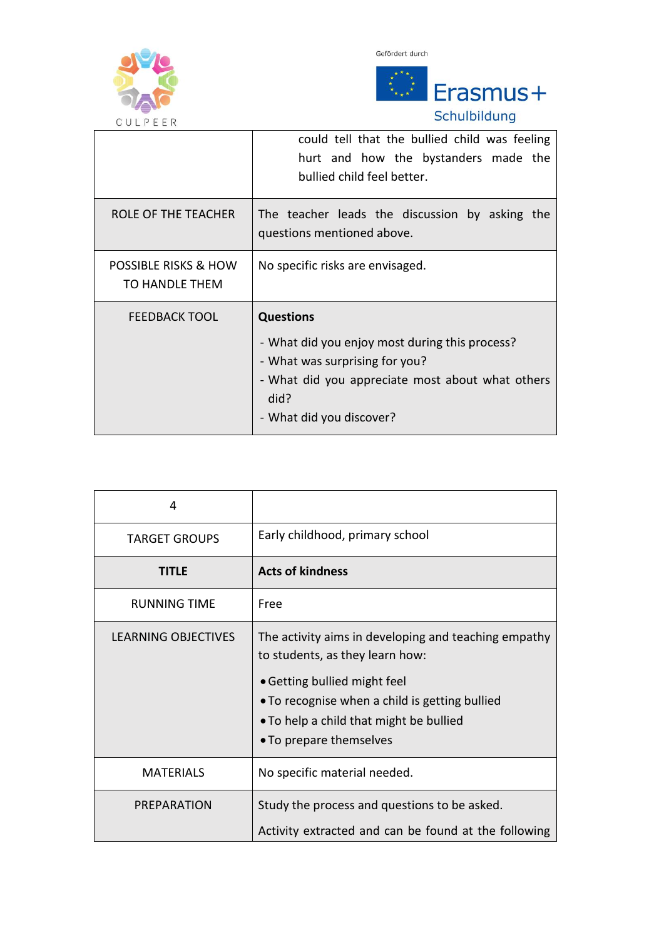





Schulbildung

| UULFEER                                |                                                                                                                                                                                              |
|----------------------------------------|----------------------------------------------------------------------------------------------------------------------------------------------------------------------------------------------|
|                                        | could tell that the bullied child was feeling<br>hurt and how the bystanders made the                                                                                                        |
|                                        | bullied child feel better.                                                                                                                                                                   |
| ROLE OF THE TEACHER                    | The teacher leads the discussion by asking the<br>questions mentioned above.                                                                                                                 |
| POSSIBLE RISKS & HOW<br>TO HANDLE THEM | No specific risks are envisaged.                                                                                                                                                             |
| <b>FEEDBACK TOOL</b>                   | <b>Questions</b><br>- What did you enjoy most during this process?<br>- What was surprising for you?<br>- What did you appreciate most about what others<br>did?<br>- What did you discover? |

| 4                          |                                                                                                                                                      |
|----------------------------|------------------------------------------------------------------------------------------------------------------------------------------------------|
| <b>TARGET GROUPS</b>       | Early childhood, primary school                                                                                                                      |
| TITLE                      | <b>Acts of kindness</b>                                                                                                                              |
| <b>RUNNING TIME</b>        | Free                                                                                                                                                 |
| <b>LEARNING OBJECTIVES</b> | The activity aims in developing and teaching empathy<br>to students, as they learn how:                                                              |
|                            | • Getting bullied might feel<br>• To recognise when a child is getting bullied<br>• To help a child that might be bullied<br>• To prepare themselves |
| <b>MATERIALS</b>           | No specific material needed.                                                                                                                         |
| PREPARATION                | Study the process and questions to be asked.<br>Activity extracted and can be found at the following                                                 |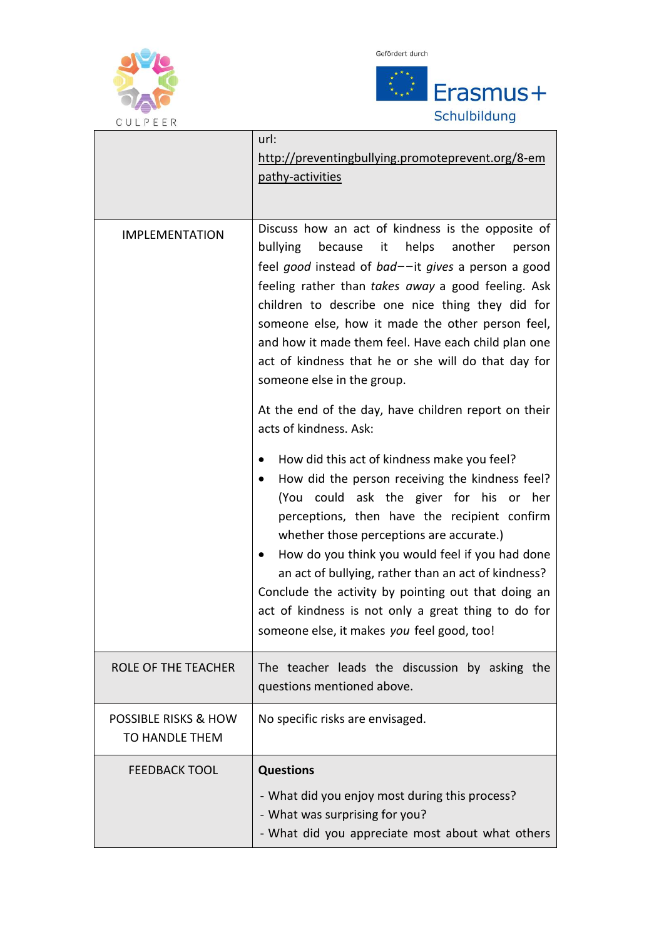



| U U L P E E K                                            |                                                                                                                                                                                                                                                                                                                                                                                                                                                                                                                   |
|----------------------------------------------------------|-------------------------------------------------------------------------------------------------------------------------------------------------------------------------------------------------------------------------------------------------------------------------------------------------------------------------------------------------------------------------------------------------------------------------------------------------------------------------------------------------------------------|
|                                                          | url:<br>http://preventingbullying.promoteprevent.org/8-em<br>pathy-activities                                                                                                                                                                                                                                                                                                                                                                                                                                     |
| <b>IMPLEMENTATION</b>                                    | Discuss how an act of kindness is the opposite of<br>bullying because it<br>helps<br>another<br>person<br>feel good instead of bad--it gives a person a good<br>feeling rather than takes away a good feeling. Ask<br>children to describe one nice thing they did for<br>someone else, how it made the other person feel,<br>and how it made them feel. Have each child plan one<br>act of kindness that he or she will do that day for<br>someone else in the group.                                            |
|                                                          | At the end of the day, have children report on their<br>acts of kindness. Ask:                                                                                                                                                                                                                                                                                                                                                                                                                                    |
|                                                          | How did this act of kindness make you feel?<br>How did the person receiving the kindness feel?<br>(You could ask the giver for his<br>her<br>or<br>perceptions, then have the recipient confirm<br>whether those perceptions are accurate.)<br>How do you think you would feel if you had done<br>an act of bullying, rather than an act of kindness?<br>Conclude the activity by pointing out that doing an<br>act of kindness is not only a great thing to do for<br>someone else, it makes you feel good, too! |
| ROLE OF THE TEACHER                                      | The teacher leads the discussion by asking the<br>questions mentioned above.                                                                                                                                                                                                                                                                                                                                                                                                                                      |
| <b>POSSIBLE RISKS &amp; HOW</b><br><b>TO HANDLE THEM</b> | No specific risks are envisaged.                                                                                                                                                                                                                                                                                                                                                                                                                                                                                  |
| <b>FEEDBACK TOOL</b>                                     | <b>Questions</b>                                                                                                                                                                                                                                                                                                                                                                                                                                                                                                  |
|                                                          | - What did you enjoy most during this process?<br>- What was surprising for you?<br>- What did you appreciate most about what others                                                                                                                                                                                                                                                                                                                                                                              |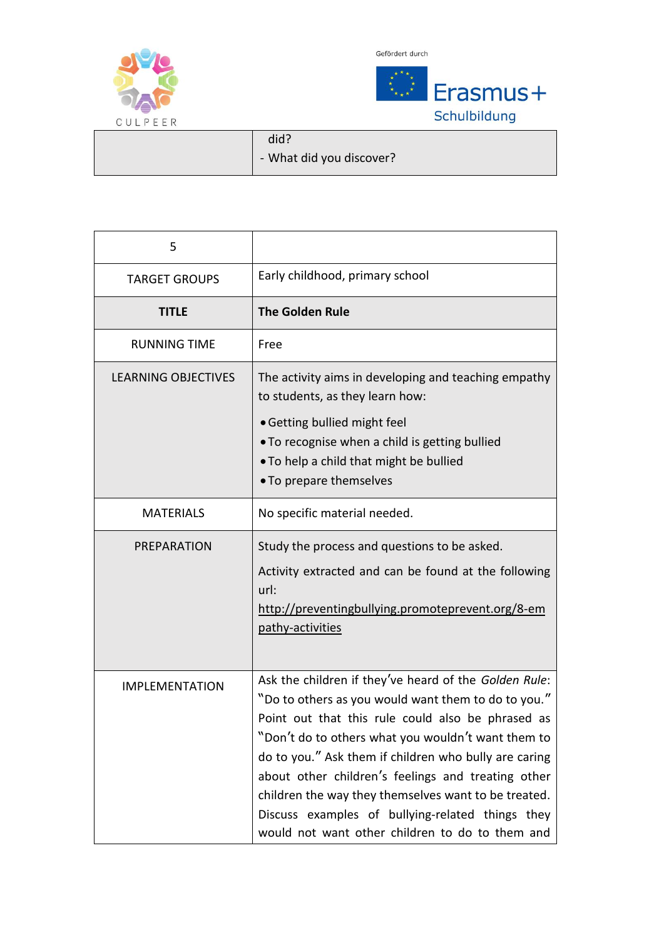

 $\overline{a}$ 

Gefördert durch



did? - What did you discover?

| 5                          |                                                                                                                                                                                                                                                                                                                                                                                                                                                                                                       |
|----------------------------|-------------------------------------------------------------------------------------------------------------------------------------------------------------------------------------------------------------------------------------------------------------------------------------------------------------------------------------------------------------------------------------------------------------------------------------------------------------------------------------------------------|
| <b>TARGET GROUPS</b>       | Early childhood, primary school                                                                                                                                                                                                                                                                                                                                                                                                                                                                       |
| <b>TITLE</b>               | <b>The Golden Rule</b>                                                                                                                                                                                                                                                                                                                                                                                                                                                                                |
| <b>RUNNING TIME</b>        | Free                                                                                                                                                                                                                                                                                                                                                                                                                                                                                                  |
| <b>LEARNING OBJECTIVES</b> | The activity aims in developing and teaching empathy<br>to students, as they learn how:<br>• Getting bullied might feel<br>. To recognise when a child is getting bullied<br>. To help a child that might be bullied<br>• To prepare themselves                                                                                                                                                                                                                                                       |
| <b>MATERIALS</b>           | No specific material needed.                                                                                                                                                                                                                                                                                                                                                                                                                                                                          |
| PREPARATION                | Study the process and questions to be asked.<br>Activity extracted and can be found at the following<br>url:<br>http://preventingbullying.promoteprevent.org/8-em<br>pathy-activities                                                                                                                                                                                                                                                                                                                 |
| <b>IMPLEMENTATION</b>      | Ask the children if they've heard of the Golden Rule:<br>"Do to others as you would want them to do to you."<br>Point out that this rule could also be phrased as<br>"Don't do to others what you wouldn't want them to<br>do to you." Ask them if children who bully are caring<br>about other children's feelings and treating other<br>children the way they themselves want to be treated.<br>Discuss examples of bullying-related things they<br>would not want other children to do to them and |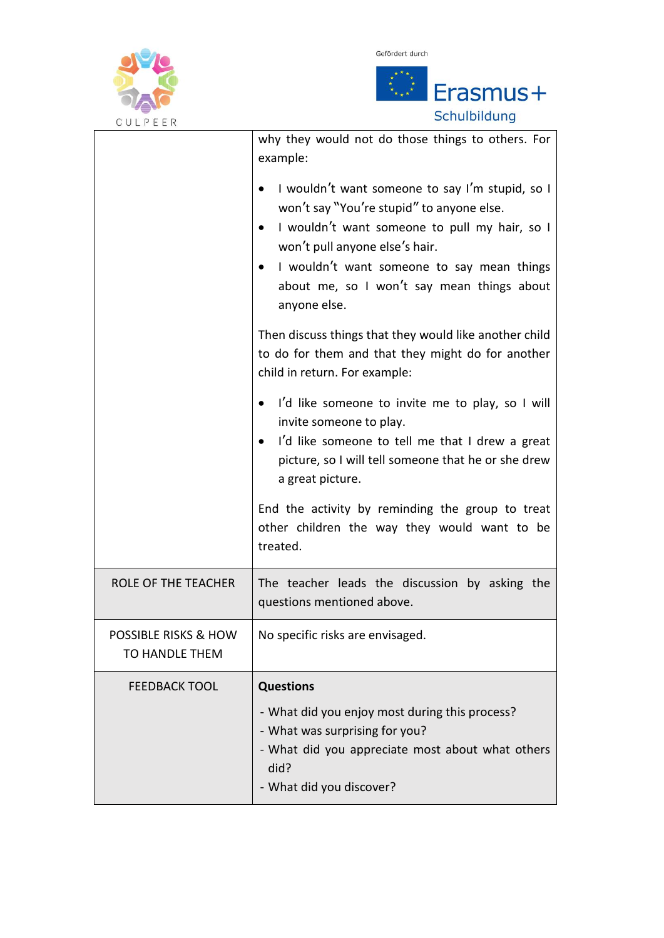



| U U L P E E K                                            |                                                                                                                                                                                                                                                                                                          |
|----------------------------------------------------------|----------------------------------------------------------------------------------------------------------------------------------------------------------------------------------------------------------------------------------------------------------------------------------------------------------|
|                                                          | why they would not do those things to others. For<br>example:                                                                                                                                                                                                                                            |
|                                                          | I wouldn't want someone to say I'm stupid, so I<br>won't say "You're stupid" to anyone else.<br>I wouldn't want someone to pull my hair, so I<br>won't pull anyone else's hair.<br>I wouldn't want someone to say mean things<br>$\bullet$<br>about me, so I won't say mean things about<br>anyone else. |
|                                                          | Then discuss things that they would like another child<br>to do for them and that they might do for another<br>child in return. For example:                                                                                                                                                             |
|                                                          | I'd like someone to invite me to play, so I will<br>invite someone to play.<br>I'd like someone to tell me that I drew a great<br>picture, so I will tell someone that he or she drew<br>a great picture.                                                                                                |
|                                                          | End the activity by reminding the group to treat<br>other children the way they would want to be<br>treated.                                                                                                                                                                                             |
| <b>ROLE OF THE TEACHER</b>                               | The teacher leads the discussion by asking the<br>questions mentioned above.                                                                                                                                                                                                                             |
| <b>POSSIBLE RISKS &amp; HOW</b><br><b>TO HANDLE THEM</b> | No specific risks are envisaged.                                                                                                                                                                                                                                                                         |
| <b>FEEDBACK TOOL</b>                                     | <b>Questions</b>                                                                                                                                                                                                                                                                                         |
|                                                          | - What did you enjoy most during this process?<br>- What was surprising for you?<br>- What did you appreciate most about what others<br>did?<br>- What did you discover?                                                                                                                                 |
|                                                          |                                                                                                                                                                                                                                                                                                          |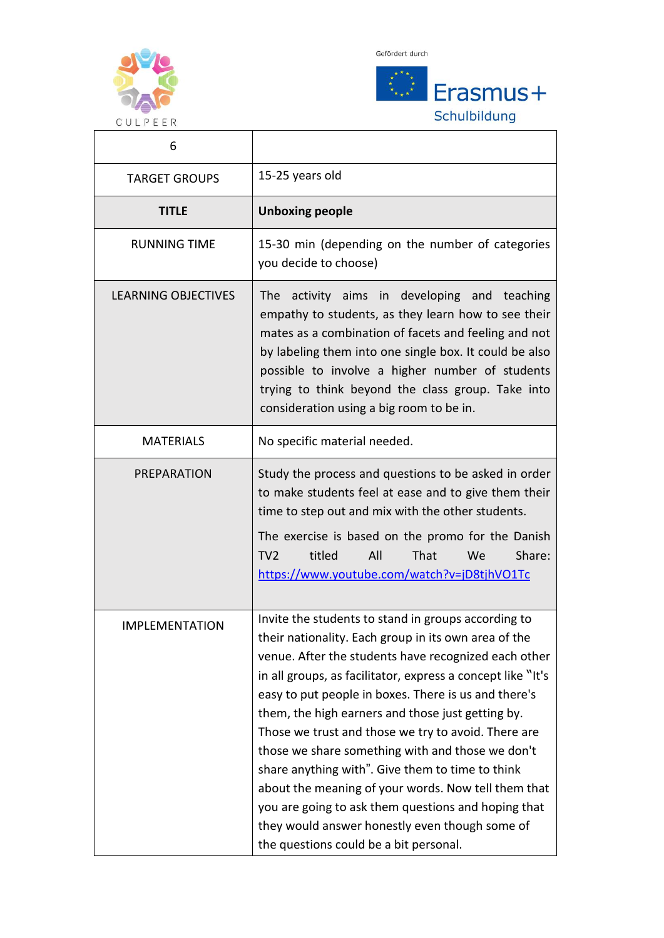

Gefördert durch



٦

| 6                          |                                                                                                                                                                                                                                                                                                                                                                                                                                                                                                                                                                                                                                                                                                                          |
|----------------------------|--------------------------------------------------------------------------------------------------------------------------------------------------------------------------------------------------------------------------------------------------------------------------------------------------------------------------------------------------------------------------------------------------------------------------------------------------------------------------------------------------------------------------------------------------------------------------------------------------------------------------------------------------------------------------------------------------------------------------|
| <b>TARGET GROUPS</b>       | 15-25 years old                                                                                                                                                                                                                                                                                                                                                                                                                                                                                                                                                                                                                                                                                                          |
| <b>TITLE</b>               | <b>Unboxing people</b>                                                                                                                                                                                                                                                                                                                                                                                                                                                                                                                                                                                                                                                                                                   |
| <b>RUNNING TIME</b>        | 15-30 min (depending on the number of categories<br>you decide to choose)                                                                                                                                                                                                                                                                                                                                                                                                                                                                                                                                                                                                                                                |
| <b>LEARNING OBJECTIVES</b> | The activity aims in developing and teaching<br>empathy to students, as they learn how to see their<br>mates as a combination of facets and feeling and not<br>by labeling them into one single box. It could be also<br>possible to involve a higher number of students<br>trying to think beyond the class group. Take into<br>consideration using a big room to be in.                                                                                                                                                                                                                                                                                                                                                |
| <b>MATERIALS</b>           | No specific material needed.                                                                                                                                                                                                                                                                                                                                                                                                                                                                                                                                                                                                                                                                                             |
| PREPARATION                | Study the process and questions to be asked in order<br>to make students feel at ease and to give them their<br>time to step out and mix with the other students.<br>The exercise is based on the promo for the Danish<br>titled<br>All<br>Share:<br>TV <sub>2</sub><br>That<br>We<br>https://www.youtube.com/watch?v=jD8tjhVO1Tc                                                                                                                                                                                                                                                                                                                                                                                        |
| <b>IMPLEMENTATION</b>      | Invite the students to stand in groups according to<br>their nationality. Each group in its own area of the<br>venue. After the students have recognized each other<br>in all groups, as facilitator, express a concept like "It's<br>easy to put people in boxes. There is us and there's<br>them, the high earners and those just getting by.<br>Those we trust and those we try to avoid. There are<br>those we share something with and those we don't<br>share anything with". Give them to time to think<br>about the meaning of your words. Now tell them that<br>you are going to ask them questions and hoping that<br>they would answer honestly even though some of<br>the questions could be a bit personal. |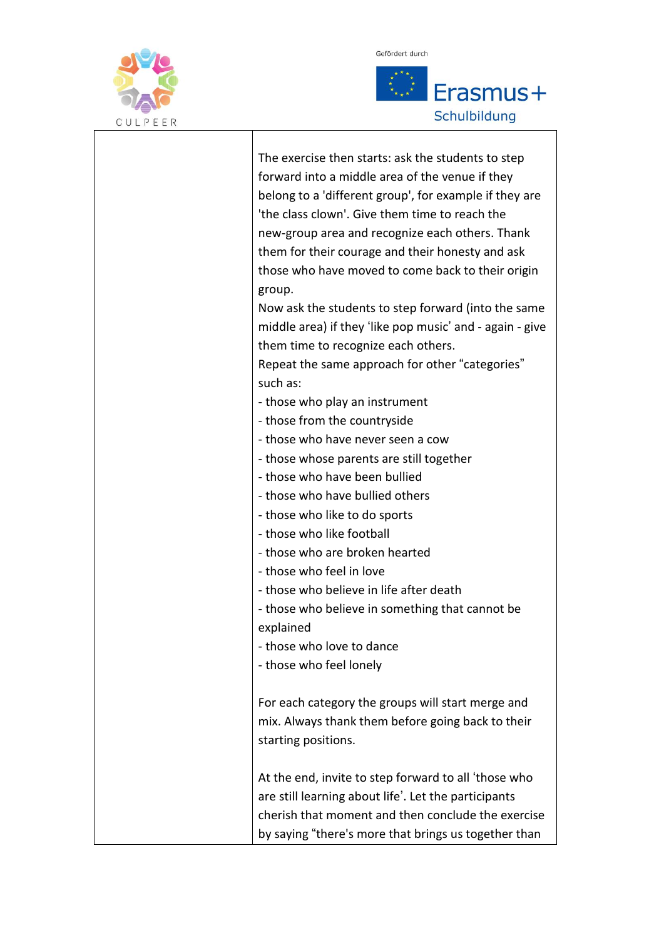

 $\overline{\phantom{a}}$ 



| The exercise then starts: ask the students to step<br>forward into a middle area of the venue if they<br>belong to a 'different group', for example if they are<br>'the class clown'. Give them time to reach the<br>new-group area and recognize each others. Thank<br>them for their courage and their honesty and ask |
|--------------------------------------------------------------------------------------------------------------------------------------------------------------------------------------------------------------------------------------------------------------------------------------------------------------------------|
| those who have moved to come back to their origin                                                                                                                                                                                                                                                                        |
| group.                                                                                                                                                                                                                                                                                                                   |
| Now ask the students to step forward (into the same<br>middle area) if they 'like pop music' and - again - give                                                                                                                                                                                                          |
| them time to recognize each others.                                                                                                                                                                                                                                                                                      |
| Repeat the same approach for other "categories"                                                                                                                                                                                                                                                                          |
| such as:                                                                                                                                                                                                                                                                                                                 |
| - those who play an instrument                                                                                                                                                                                                                                                                                           |
| - those from the countryside                                                                                                                                                                                                                                                                                             |
| - those who have never seen a cow                                                                                                                                                                                                                                                                                        |
| - those whose parents are still together                                                                                                                                                                                                                                                                                 |
| - those who have been bullied                                                                                                                                                                                                                                                                                            |
| - those who have bullied others                                                                                                                                                                                                                                                                                          |
| - those who like to do sports                                                                                                                                                                                                                                                                                            |
| - those who like football                                                                                                                                                                                                                                                                                                |
| - those who are broken hearted                                                                                                                                                                                                                                                                                           |
| - those who feel in love                                                                                                                                                                                                                                                                                                 |
| - those who believe in life after death                                                                                                                                                                                                                                                                                  |
| - those who believe in something that cannot be                                                                                                                                                                                                                                                                          |
| explained                                                                                                                                                                                                                                                                                                                |
| - those who love to dance                                                                                                                                                                                                                                                                                                |
| - those who feel lonely                                                                                                                                                                                                                                                                                                  |
| For each category the groups will start merge and                                                                                                                                                                                                                                                                        |
| mix. Always thank them before going back to their                                                                                                                                                                                                                                                                        |
| starting positions.                                                                                                                                                                                                                                                                                                      |
| At the end, invite to step forward to all 'those who                                                                                                                                                                                                                                                                     |
| are still learning about life'. Let the participants                                                                                                                                                                                                                                                                     |
| cherish that moment and then conclude the exercise                                                                                                                                                                                                                                                                       |
| by saying "there's more that brings us together than                                                                                                                                                                                                                                                                     |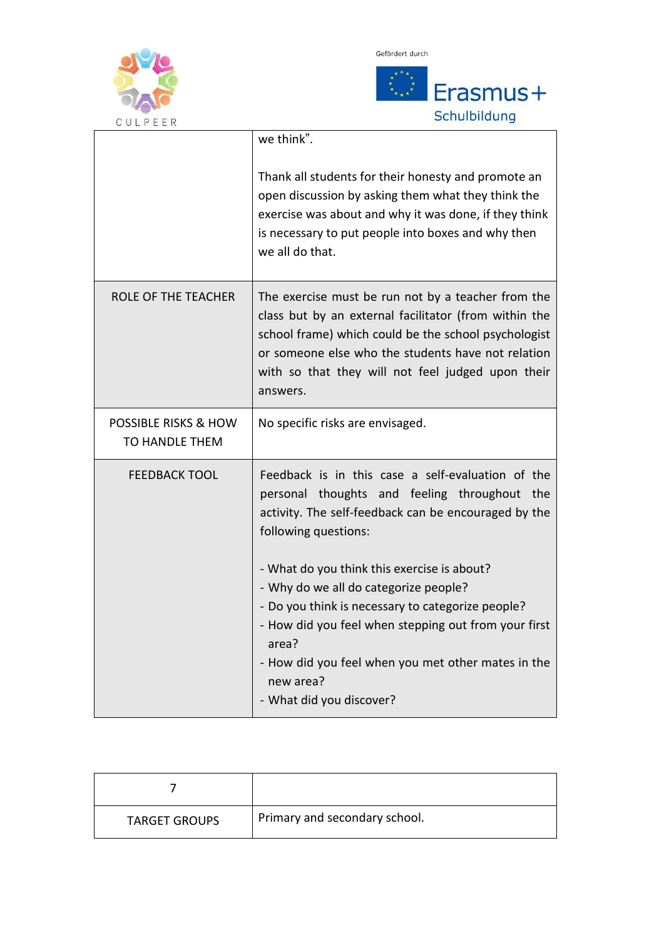



| U U L P E E K                                            |                                                                                                                                                                                                                                                                                            |
|----------------------------------------------------------|--------------------------------------------------------------------------------------------------------------------------------------------------------------------------------------------------------------------------------------------------------------------------------------------|
|                                                          | we think".                                                                                                                                                                                                                                                                                 |
|                                                          | Thank all students for their honesty and promote an<br>open discussion by asking them what they think the<br>exercise was about and why it was done, if they think<br>is necessary to put people into boxes and why then<br>we all do that.                                                |
| ROLE OF THE TEACHER                                      | The exercise must be run not by a teacher from the<br>class but by an external facilitator (from within the<br>school frame) which could be the school psychologist<br>or someone else who the students have not relation<br>with so that they will not feel judged upon their<br>answers. |
| <b>POSSIBLE RISKS &amp; HOW</b><br><b>TO HANDLE THEM</b> | No specific risks are envisaged.                                                                                                                                                                                                                                                           |
| <b>FEEDBACK TOOL</b>                                     | Feedback is in this case a self-evaluation of the<br>personal thoughts and feeling throughout<br>the<br>activity. The self-feedback can be encouraged by the<br>following questions:                                                                                                       |
|                                                          | - What do you think this exercise is about?<br>- Why do we all do categorize people?<br>- Do you think is necessary to categorize people?<br>- How did you feel when stepping out from your first<br>area?                                                                                 |
|                                                          | - How did you feel when you met other mates in the<br>new area?<br>- What did you discover?                                                                                                                                                                                                |

| <b>TARGET GROUPS</b> | Primary and secondary school. |
|----------------------|-------------------------------|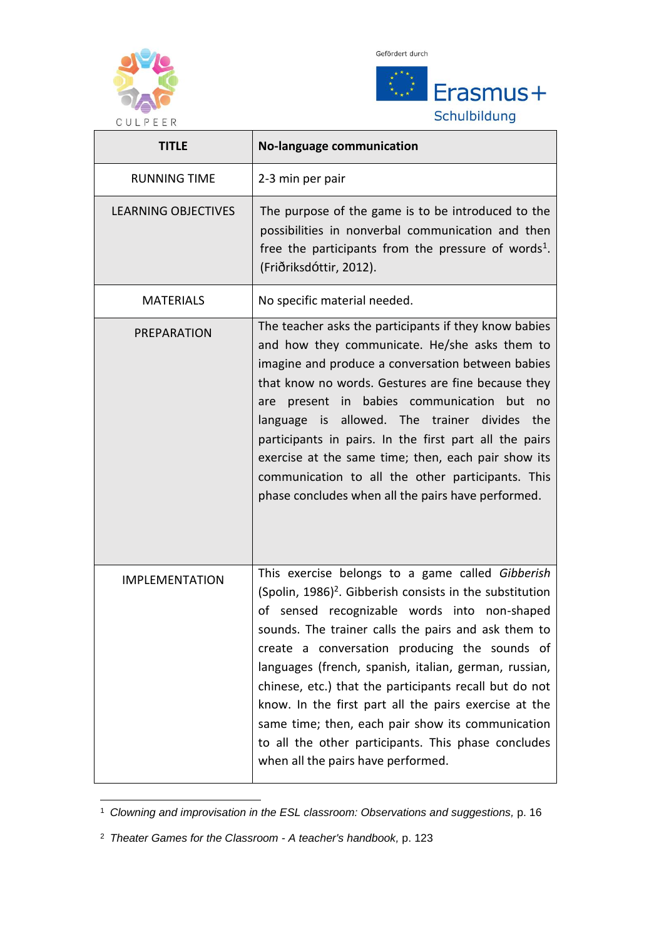



| U U L P E E K<br><b>TITLE</b> | <b>No-language communication</b>                                                                                                                                                                                                                                                                                                                                                                                                                                                                                                                                                                                  |
|-------------------------------|-------------------------------------------------------------------------------------------------------------------------------------------------------------------------------------------------------------------------------------------------------------------------------------------------------------------------------------------------------------------------------------------------------------------------------------------------------------------------------------------------------------------------------------------------------------------------------------------------------------------|
| <b>RUNNING TIME</b>           | 2-3 min per pair                                                                                                                                                                                                                                                                                                                                                                                                                                                                                                                                                                                                  |
| <b>LEARNING OBJECTIVES</b>    | The purpose of the game is to be introduced to the<br>possibilities in nonverbal communication and then<br>free the participants from the pressure of words <sup>1</sup> .<br>(Friðriksdóttir, 2012).                                                                                                                                                                                                                                                                                                                                                                                                             |
| <b>MATERIALS</b>              | No specific material needed.                                                                                                                                                                                                                                                                                                                                                                                                                                                                                                                                                                                      |
| PREPARATION                   | The teacher asks the participants if they know babies<br>and how they communicate. He/she asks them to<br>imagine and produce a conversation between babies<br>that know no words. Gestures are fine because they<br>babies communication but<br>present in<br>are<br>no no<br>language is allowed. The trainer divides<br>the<br>participants in pairs. In the first part all the pairs<br>exercise at the same time; then, each pair show its<br>communication to all the other participants. This<br>phase concludes when all the pairs have performed.                                                        |
| <b>IMPLEMENTATION</b>         | This exercise belongs to a game called Gibberish<br>(Spolin, $1986$ ) <sup>2</sup> . Gibberish consists in the substitution<br>of sensed recognizable words into non-shaped<br>sounds. The trainer calls the pairs and ask them to<br>create a conversation producing the sounds of<br>languages (french, spanish, italian, german, russian,<br>chinese, etc.) that the participants recall but do not<br>know. In the first part all the pairs exercise at the<br>same time; then, each pair show its communication<br>to all the other participants. This phase concludes<br>when all the pairs have performed. |

-<sup>1</sup> *Clowning and improvisation in the ESL classroom: Observations and suggestions,* p. 16

<sup>2</sup> *Theater Games for the Classroom - A teacher's handbook,* p. 123